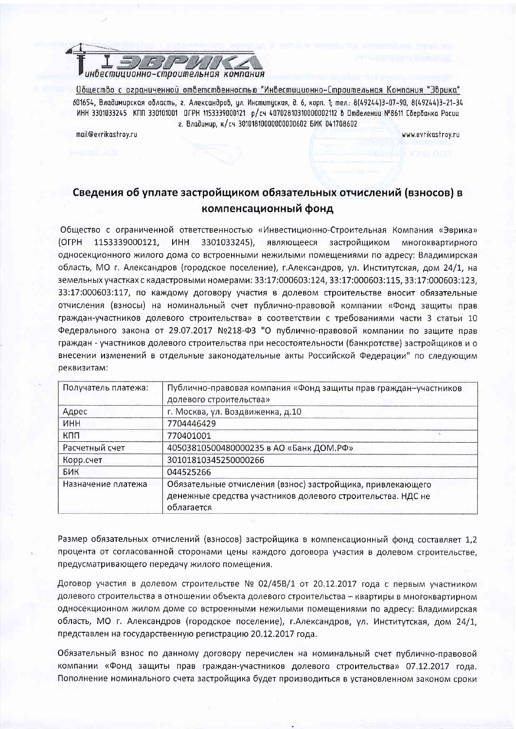

Общество с ограниченной ответственностью "Инвестиционно-Строительная Компания "Эврика" 601654, Владимирская область, г. Александров, ил. Инститиская, д. 6, корп. 1: тел.: 8(49244)3-07-90, 8(49244)3-21-34 ИНН 3301033245 КПП 330101001 ОГРН 1153339000121 р/сч 40702810310000002112 В Отделении №8611 Сбербанка Росии г. Владимир, к/сч 30101810000000000602 БИК 041708602

mail@evrikastrov.ru

www.evrikastrov.ru

## Сведения об уплате застройщиком обязательных отчислений (взносов) в компенсационный фонд

Общество с ограниченной ответственностью «Инвестиционно-Строительная Компания «Эврика» (OFPH 1153339000121, **UHH** 3301033245), являющееся застройщиком многоквартирного односекционного жилого дома со встроенными нежилыми помещениями по адресу: Владимирская область, МО г. Александров (городское поселение), г.Александров, ул. Институтская, дом 24/1, на земельных участках с кадастровыми номерами: 33:17:000603:124, 33:17:000603:115, 33:17:000603:123, 33:17:000603:117, по каждому договору участия в долевом строительстве вносит обязательные отчисления (взносы) на номинальный счет публично-правовой компании «Фонд защиты прав граждан-участников долевого строительства» в соответствии с требованиями части 3 статьи 10 Федерального закона от 29.07.2017 №218-ФЗ "О публично-правовой компании по защите прав граждан - участников долевого строительства при несостоятельности (банкротстве) застройщиков и о внесении изменений в отдельные законодательные акты Российской Федерации" по следующим реквизитам:

| Получатель платежа: | Публично-правовая компания «Фонд защиты прав граждан-участников<br>долевого строительства» |  |
|---------------------|--------------------------------------------------------------------------------------------|--|
| Адрес               | г. Москва, ул. Воздвиженка, д.10                                                           |  |
| <b>NHH</b>          | 7704446429                                                                                 |  |
| кпп                 | 770401001                                                                                  |  |
| Расчетный счет      | 40503810500480000235 в АО «Банк ДОМ.РФ»                                                    |  |
| Корр.счет           | 30101810345250000266                                                                       |  |
| БИК                 | 044525266                                                                                  |  |
| Назначение платежа  | Обязательные отчисления (взнос) застройщика, привлекающего                                 |  |
|                     | денежные средства участников долевого строительства. НДС не<br>облагается                  |  |

Размер обязательных отчислений (взносов) застройщика в компенсационный фонд составляет 1.2 процента от согласованной сторонами цены каждого договора участия в долевом строительстве, предусматривающего передачу жилого помещения.

Договор участия в долевом строительстве № 02/45В/1 от 20.12.2017 года с первым участником долевого строительства в отношении объекта долевого строительства - квартиры в многоквартирном односекционном жилом доме со встроенными нежилыми помещениями по адресу: Владимирская область, МО г. Александров (городское поселение), г.Александров, ул. Институтская, дом 24/1. представлен на государственную регистрацию 20.12.2017 года.

Обязательный взнос по данному договору перечислен на номинальный счет публично-правовой компании «Фонд защиты прав граждан-участников долевого строительства» 07.12.2017 года. Пополнение номинального счета застройщика будет производиться в установленном законом сроки